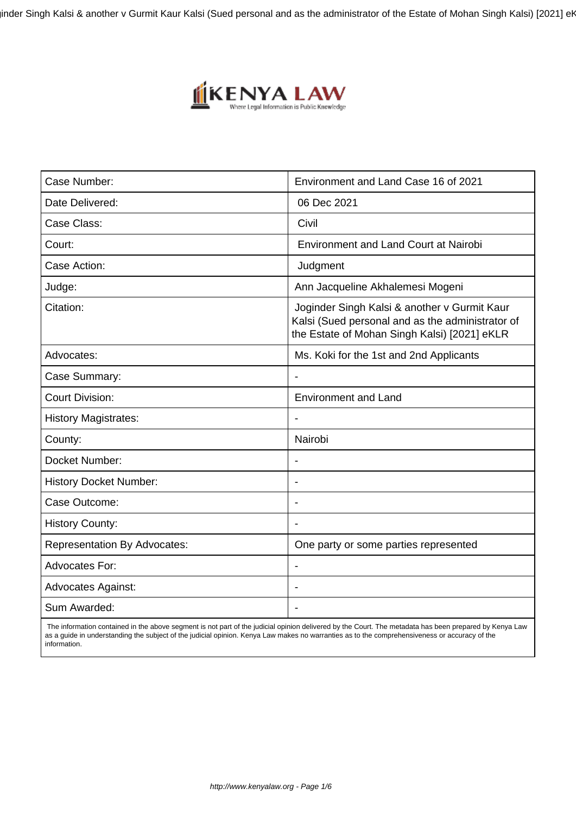inder Singh Kalsi & another v Gurmit Kaur Kalsi (Sued personal and as the administrator of the Estate of Mohan Singh Kalsi) [2021] e<mark>k</mark>



| Case Number:                        | Environment and Land Case 16 of 2021                                                                                                             |
|-------------------------------------|--------------------------------------------------------------------------------------------------------------------------------------------------|
| Date Delivered:                     | 06 Dec 2021                                                                                                                                      |
| Case Class:                         | Civil                                                                                                                                            |
| Court:                              | <b>Environment and Land Court at Nairobi</b>                                                                                                     |
| Case Action:                        | Judgment                                                                                                                                         |
| Judge:                              | Ann Jacqueline Akhalemesi Mogeni                                                                                                                 |
| Citation:                           | Joginder Singh Kalsi & another v Gurmit Kaur<br>Kalsi (Sued personal and as the administrator of<br>the Estate of Mohan Singh Kalsi) [2021] eKLR |
| Advocates:                          | Ms. Koki for the 1st and 2nd Applicants                                                                                                          |
| Case Summary:                       | $\overline{a}$                                                                                                                                   |
| <b>Court Division:</b>              | <b>Environment and Land</b>                                                                                                                      |
| <b>History Magistrates:</b>         |                                                                                                                                                  |
| County:                             | Nairobi                                                                                                                                          |
| Docket Number:                      | $\blacksquare$                                                                                                                                   |
| <b>History Docket Number:</b>       |                                                                                                                                                  |
| Case Outcome:                       | $\blacksquare$                                                                                                                                   |
| <b>History County:</b>              |                                                                                                                                                  |
| <b>Representation By Advocates:</b> | One party or some parties represented                                                                                                            |
| <b>Advocates For:</b>               |                                                                                                                                                  |
| <b>Advocates Against:</b>           |                                                                                                                                                  |
| Sum Awarded:                        |                                                                                                                                                  |

 The information contained in the above segment is not part of the judicial opinion delivered by the Court. The metadata has been prepared by Kenya Law as a guide in understanding the subject of the judicial opinion. Kenya Law makes no warranties as to the comprehensiveness or accuracy of the information.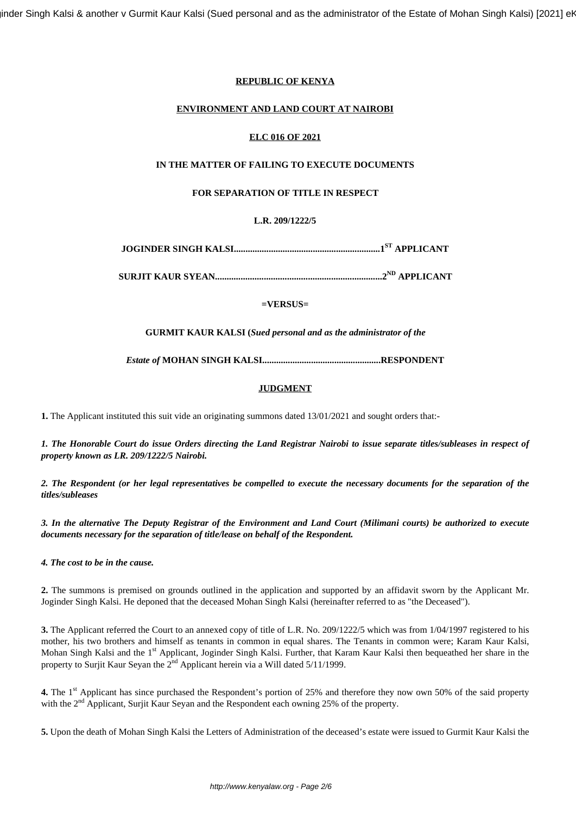# **REPUBLIC OF KENYA**

# **ENVIRONMENT AND LAND COURT AT NAIROBI**

# **ELC 016 OF 2021**

# **IN THE MATTER OF FAILING TO EXECUTE DOCUMENTS**

# **FOR SEPARATION OF TITLE IN RESPECT**

# **L.R. 209/1222/5**

**JOGINDER SINGH KALSI...............................................................1ST APPLICANT**

**SURJIT KAUR SYEAN........................................................................2ND APPLICANT**

## **=VERSUS=**

**GURMIT KAUR KALSI (***Sued personal and as the administrator of the*

*Estate of* **MOHAN SINGH KALSI...................................................RESPONDENT**

# **JUDGMENT**

**1.** The Applicant instituted this suit vide an originating summons dated 13/01/2021 and sought orders that:-

*1. The Honorable Court do issue Orders directing the Land Registrar Nairobi to issue separate titles/subleases in respect of property known as LR. 209/1222/5 Nairobi.*

*2. The Respondent (or her legal representatives be compelled to execute the necessary documents for the separation of the titles/subleases*

*3. In the alternative The Deputy Registrar of the Environment and Land Court (Milimani courts) be authorized to execute documents necessary for the separation of title/lease on behalf of the Respondent.*

*4. The cost to be in the cause.*

**2.** The summons is premised on grounds outlined in the application and supported by an affidavit sworn by the Applicant Mr. Joginder Singh Kalsi. He deponed that the deceased Mohan Singh Kalsi (hereinafter referred to as "the Deceased").

**3.** The Applicant referred the Court to an annexed copy of title of L.R. No. 209/1222/5 which was from 1/04/1997 registered to his mother, his two brothers and himself as tenants in common in equal shares. The Tenants in common were; Karam Kaur Kalsi, Mohan Singh Kalsi and the 1<sup>st</sup> Applicant, Joginder Singh Kalsi. Further, that Karam Kaur Kalsi then bequeathed her share in the property to Surjit Kaur Seyan the 2<sup>nd</sup> Applicant herein via a Will dated 5/11/1999.

**4.** The 1<sup>st</sup> Applicant has since purchased the Respondent's portion of 25% and therefore they now own 50% of the said property with the 2<sup>nd</sup> Applicant, Surjit Kaur Seyan and the Respondent each owning 25% of the property.

**5.** Upon the death of Mohan Singh Kalsi the Letters of Administration of the deceased's estate were issued to Gurmit Kaur Kalsi the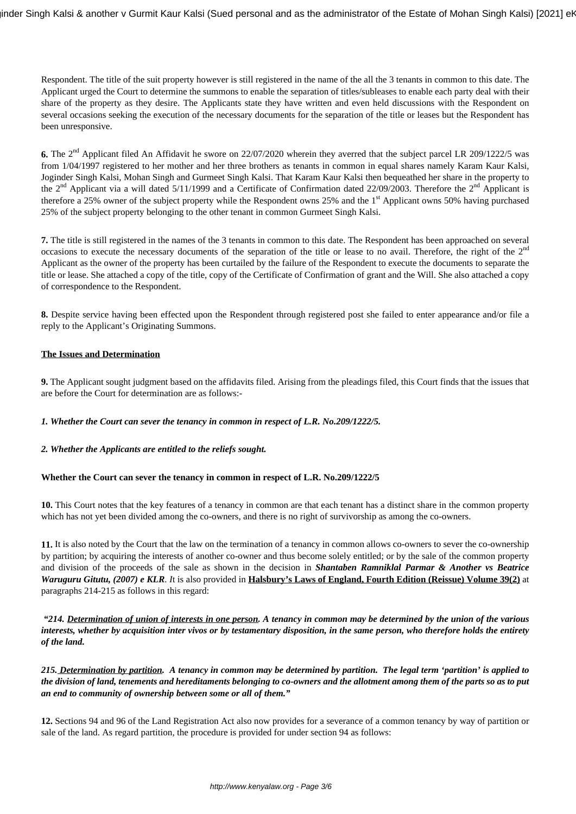Respondent. The title of the suit property however is still registered in the name of the all the 3 tenants in common to this date. The Applicant urged the Court to determine the summons to enable the separation of titles/subleases to enable each party deal with their share of the property as they desire. The Applicants state they have written and even held discussions with the Respondent on several occasions seeking the execution of the necessary documents for the separation of the title or leases but the Respondent has been unresponsive.

**6.** The 2<sup>nd</sup> Applicant filed An Affidavit he swore on 22/07/2020 wherein they averred that the subject parcel LR 209/1222/5 was from 1/04/1997 registered to her mother and her three brothers as tenants in common in equal shares namely Karam Kaur Kalsi, Joginder Singh Kalsi, Mohan Singh and Gurmeet Singh Kalsi. That Karam Kaur Kalsi then bequeathed her share in the property to the  $2<sup>nd</sup>$  Applicant via a will dated 5/11/1999 and a Certificate of Confirmation dated 22/09/2003. Therefore the  $2<sup>nd</sup>$  Applicant is therefore a 25% owner of the subject property while the Respondent owns 25% and the  $1<sup>st</sup>$  Applicant owns 50% having purchased 25% of the subject property belonging to the other tenant in common Gurmeet Singh Kalsi.

**7.** The title is still registered in the names of the 3 tenants in common to this date. The Respondent has been approached on several occasions to execute the necessary documents of the separation of the title or lease to no avail. Therefore, the right of the  $2<sup>nd</sup>$ Applicant as the owner of the property has been curtailed by the failure of the Respondent to execute the documents to separate the title or lease. She attached a copy of the title, copy of the Certificate of Confirmation of grant and the Will. She also attached a copy of correspondence to the Respondent.

**8.** Despite service having been effected upon the Respondent through registered post she failed to enter appearance and/or file a reply to the Applicant's Originating Summons.

## **The Issues and Determination**

**9.** The Applicant sought judgment based on the affidavits filed. Arising from the pleadings filed, this Court finds that the issues that are before the Court for determination are as follows:-

## *1. Whether the Court can sever the tenancy in common in respect of L.R. No.209/1222/5.*

## *2. Whether the Applicants are entitled to the reliefs sought.*

## **Whether the Court can sever the tenancy in common in respect of L.R. No.209/1222/5**

**10.** This Court notes that the key features of a tenancy in common are that each tenant has a distinct share in the common property which has not yet been divided among the co-owners, and there is no right of survivorship as among the co-owners.

**11.** It is also noted by the Court that the law on the termination of a tenancy in common allows co-owners to sever the co-ownership by partition; by acquiring the interests of another co-owner and thus become solely entitled; or by the sale of the common property and division of the proceeds of the sale as shown in the decision in *Shantaben Ramniklal Parmar & Another vs Beatrice Waruguru Gitutu, (2007) e KLR. I*t is also provided in **Halsbury's Laws of England, Fourth Edition (Reissue) Volume 39(2)** at paragraphs 214-215 as follows in this regard:

*"214. Determination of union of interests in one person. A tenancy in common may be determined by the union of the various interests, whether by acquisition inter vivos or by testamentary disposition, in the same person, who therefore holds the entirety of the land.*

*215. Determination by partition. A tenancy in common may be determined by partition. The legal term 'partition' is applied to the division of land, tenements and hereditaments belonging to co-owners and the allotment among them of the parts so as to put an end to community of ownership between some or all of them."*

**12.** Sections 94 and 96 of the Land Registration Act also now provides for a severance of a common tenancy by way of partition or sale of the land. As regard partition, the procedure is provided for under section 94 as follows: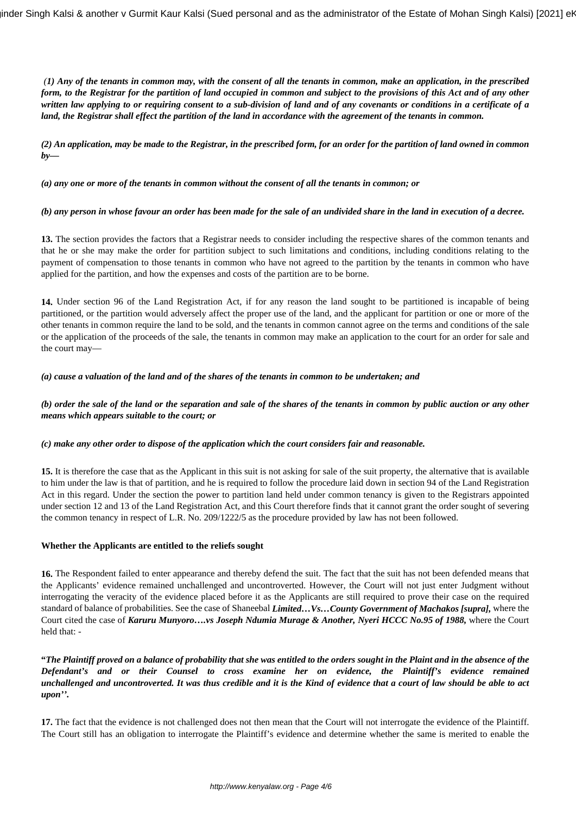*(1) Any of the tenants in common may, with the consent of all the tenants in common, make an application, in the prescribed form, to the Registrar for the partition of land occupied in common and subject to the provisions of this Act and of any other written law applying to or requiring consent to a sub-division of land and of any covenants or conditions in a certificate of a land, the Registrar shall effect the partition of the land in accordance with the agreement of the tenants in common.*

*(2) An application, may be made to the Registrar, in the prescribed form, for an order for the partition of land owned in common by—*

*(a) any one or more of the tenants in common without the consent of all the tenants in common; or*

#### *(b) any person in whose favour an order has been made for the sale of an undivided share in the land in execution of a decree.*

**13.** The section provides the factors that a Registrar needs to consider including the respective shares of the common tenants and that he or she may make the order for partition subject to such limitations and conditions, including conditions relating to the payment of compensation to those tenants in common who have not agreed to the partition by the tenants in common who have applied for the partition, and how the expenses and costs of the partition are to be borne.

**14.** Under section 96 of the Land Registration Act, if for any reason the land sought to be partitioned is incapable of being partitioned, or the partition would adversely affect the proper use of the land, and the applicant for partition or one or more of the other tenants in common require the land to be sold, and the tenants in common cannot agree on the terms and conditions of the sale or the application of the proceeds of the sale, the tenants in common may make an application to the court for an order for sale and the court may—

#### *(a) cause a valuation of the land and of the shares of the tenants in common to be undertaken; and*

*(b) order the sale of the land or the separation and sale of the shares of the tenants in common by public auction or any other means which appears suitable to the court; or*

## *(c) make any other order to dispose of the application which the court considers fair and reasonable.*

**15.** It is therefore the case that as the Applicant in this suit is not asking for sale of the suit property, the alternative that is available to him under the law is that of partition, and he is required to follow the procedure laid down in section 94 of the Land Registration Act in this regard. Under the section the power to partition land held under common tenancy is given to the Registrars appointed under section 12 and 13 of the Land Registration Act, and this Court therefore finds that it cannot grant the order sought of severing the common tenancy in respect of L.R. No. 209/1222/5 as the procedure provided by law has not been followed.

## **Whether the Applicants are entitled to the reliefs sought**

**16.** The Respondent failed to enter appearance and thereby defend the suit. The fact that the suit has not been defended means that the Applicants' evidence remained unchallenged and uncontroverted. However, the Court will not just enter Judgment without interrogating the veracity of the evidence placed before it as the Applicants are still required to prove their case on the required standard of balance of probabilities. See the case of Shaneebal *Limited…Vs…County Government of Machakos [supra],* where the Court cited the case of *Karuru Munyoro….vs Joseph Ndumia Murage & Another, Nyeri HCCC No.95 of 1988,* where the Court held that: -

**"***The Plaintiff proved on a balance of probability that she was entitled to the orders sought in the Plaint and in the absence of the Defendant's and or their Counsel to cross examine her on evidence, the Plaintiff's evidence remained unchallenged and uncontroverted. It was thus credible and it is the Kind of evidence that a court of law should be able to act upon''.*

**17.** The fact that the evidence is not challenged does not then mean that the Court will not interrogate the evidence of the Plaintiff. The Court still has an obligation to interrogate the Plaintiff's evidence and determine whether the same is merited to enable the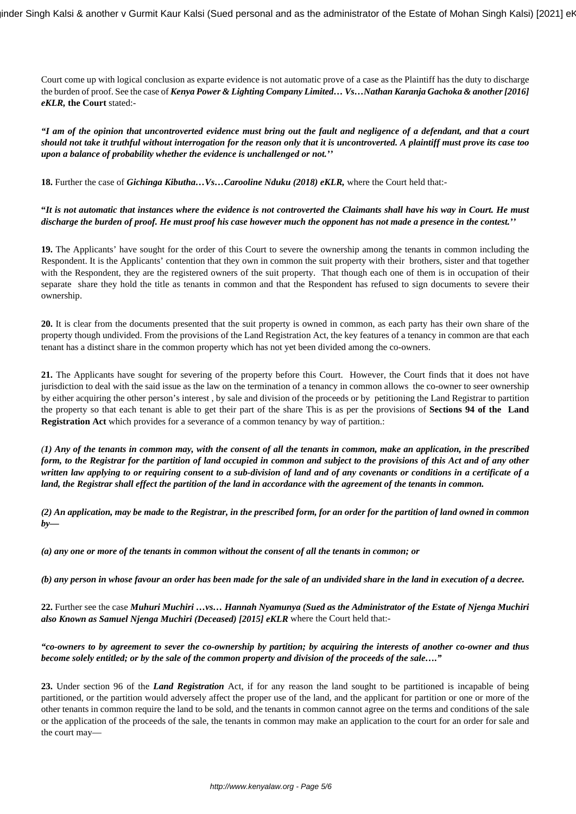Court come up with logical conclusion as exparte evidence is not automatic prove of a case as the Plaintiff has the duty to discharge the burden of proof. See the case of *Kenya Power & Lighting Company Limited… Vs…Nathan Karanja Gachoka & another [2016] eKLR,* **the Court** stated:-

*"I am of the opinion that uncontroverted evidence must bring out the fault and negligence of a defendant, and that a court should not take it truthful without interrogation for the reason only that it is uncontroverted. A plaintiff must prove its case too upon a balance of probability whether the evidence is unchallenged or not.''*

**18.** Further the case of *Gichinga Kibutha…Vs…Carooline Nduku (2018) eKLR,* where the Court held that:-

**"***It is not automatic that instances where the evidence is not controverted the Claimants shall have his way in Court. He must discharge the burden of proof. He must proof his case however much the opponent has not made a presence in the contest.''*

**19.** The Applicants' have sought for the order of this Court to severe the ownership among the tenants in common including the Respondent. It is the Applicants' contention that they own in common the suit property with their brothers, sister and that together with the Respondent, they are the registered owners of the suit property. That though each one of them is in occupation of their separate share they hold the title as tenants in common and that the Respondent has refused to sign documents to severe their ownership.

**20.** It is clear from the documents presented that the suit property is owned in common, as each party has their own share of the property though undivided. From the provisions of the Land Registration Act, the key features of a tenancy in common are that each tenant has a distinct share in the common property which has not yet been divided among the co-owners.

**21.** The Applicants have sought for severing of the property before this Court. However, the Court finds that it does not have jurisdiction to deal with the said issue as the law on the termination of a tenancy in common allows the co-owner to seer ownership by either acquiring the other person's interest , by sale and division of the proceeds or by petitioning the Land Registrar to partition the property so that each tenant is able to get their part of the share This is as per the provisions of **Sections 94 of the Land Registration Act** which provides for a severance of a common tenancy by way of partition.:

*(1) Any of the tenants in common may, with the consent of all the tenants in common, make an application, in the prescribed form, to the Registrar for the partition of land occupied in common and subject to the provisions of this Act and of any other written law applying to or requiring consent to a sub-division of land and of any covenants or conditions in a certificate of a land, the Registrar shall effect the partition of the land in accordance with the agreement of the tenants in common.*

*(2) An application, may be made to the Registrar, in the prescribed form, for an order for the partition of land owned in common by—*

*(a) any one or more of the tenants in common without the consent of all the tenants in common; or*

*(b) any person in whose favour an order has been made for the sale of an undivided share in the land in execution of a decree.*

**22.** Further see the case *Muhuri Muchiri …vs… Hannah Nyamunya (Sued as the Administrator of the Estate of Njenga Muchiri also Known as Samuel Njenga Muchiri (Deceased) [2015] eKLR* where the Court held that:-

*"co-owners to by agreement to sever the co-ownership by partition; by acquiring the interests of another co-owner and thus become solely entitled; or by the sale of the common property and division of the proceeds of the sale…."*

**23.** Under section 96 of the *Land Registration* Act, if for any reason the land sought to be partitioned is incapable of being partitioned, or the partition would adversely affect the proper use of the land, and the applicant for partition or one or more of the other tenants in common require the land to be sold, and the tenants in common cannot agree on the terms and conditions of the sale or the application of the proceeds of the sale, the tenants in common may make an application to the court for an order for sale and the court may